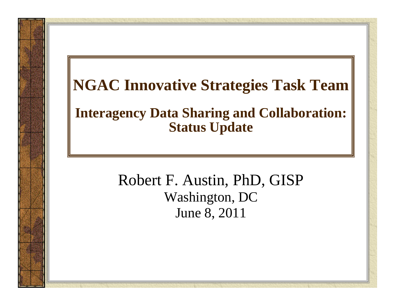### **NGAC Innovative Strategies Task Team Interagency Data Sharing and Collaboration: Status Update**

#### Robert F. Austin, PhD, GISP Washington, DC June 8, 2011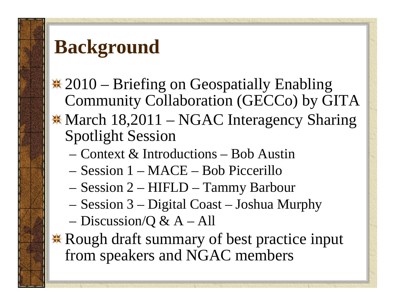### **Background**

<del>\*</del> 2010 – Briefing on Geospatially Enabling Community Collaboration (GECCo) by GITA **\* March 18,2011 – NGAC Interagency Sharing** Spotlight Session

- Context & Introductions Bob Austin
- Session 1 MACE Bob Piccerillo
- Session 2 HIFLD Tammy Barbour
- Session 3 Digital Coast Joshua Murphy
- Discussion/Q & A All

**K** Rough draft summary of best practice input from speakers and NGAC members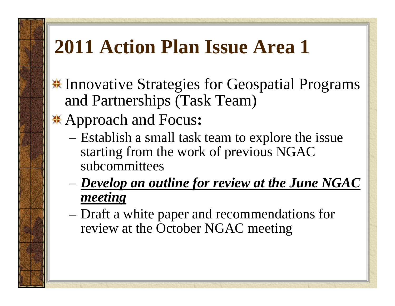# **2011 Action Plan Issue Area 1**

- $\frac{1}{2}$  **Innovative Strategies for Geospatial Programs** and Partnerships (Task Team)
- Approach and Focus **:**
	- Establish a small task team to explore the issue starting from the work of previous NGAC subcommittees
	- *Develop an outline for review at the June NGAC meeting*
	- Draft a white paper and recommendations for review at the October NGAC meeting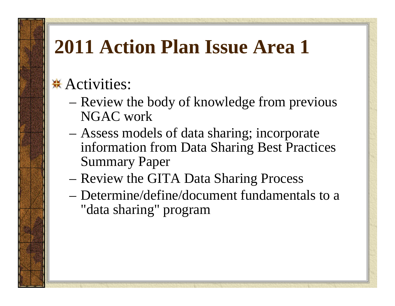## **2011 Action Plan Issue Area 1**

#### **<del></del> \*** Activities:

- Review the body of knowledge from previous NGAC work
- Assess models of data sharing; incorporate information from Data Sharing Best Practices Summary Paper
- Review the GITA Data Sharing Process
- Determine/define/document fundamentals to a "data sharing" program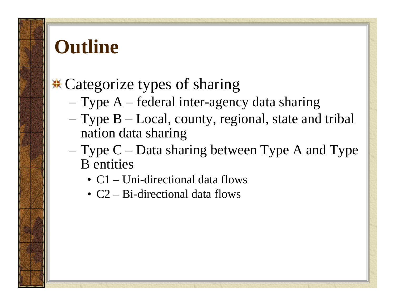### **Outline**

#### **.\*** Categorize types of sharing

- Type A federal inter-agency data sharing
- Type B Local, county, regional, state and tribal nation data sharing
- Type C Data sharing between Type A and Type B entities
	- C1 Uni-directional data flows
	- C2 Bi-directional data flows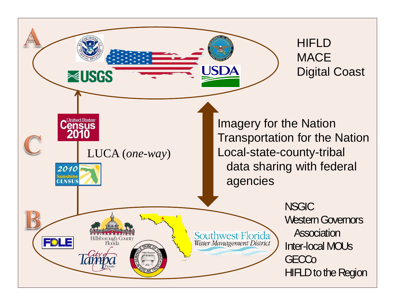**HIFLD MACE** Digital Coast

LUCA (*one-way* )

Hillsborough County<br>Florida

**NUSGS** 

**United States** ensus

2010 <mark>Sunshine</mark><br>CENSUS

FDLE

Imagery for the Nation Transportation for the Nation Local-state-county-tribal data sharing with federal agencies

JSD

Southwest Florida

Water Management District

**NSGIC** Western Governors Association Inter-local MOUs **GECCo** HIFLD to the Region